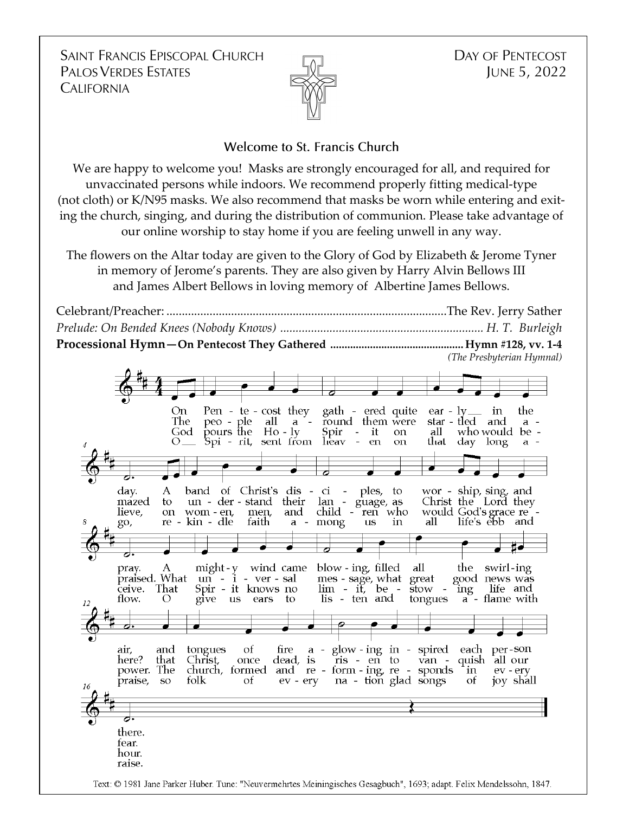**SAINT FRANCIS EPISCOPAL CHURCH PALOS VERDES ESTATES CALIFORNIA** 



**DAY OF PENTECOST JUNE 5, 2022** 

## Welcome to St. Francis Church

We are happy to welcome you! Masks are strongly encouraged for all, and required for unvaccinated persons while indoors. We recommend properly fitting medical-type (not cloth) or K/N95 masks. We also recommend that masks be worn while entering and exiting the church, singing, and during the distribution of communion. Please take advantage of our online worship to stay home if you are feeling unwell in any way.

The flowers on the Altar today are given to the Glory of God by Elizabeth & Jerome Tyner in memory of Jerome's parents. They are also given by Harry Alvin Bellows III and James Albert Bellows in loving memory of Albertine James Bellows.

Celebrant/Preacher: ...........................................................................................The Rev. Jerry Sather *Prelude: On Bended Knees (Nobody Knows) .................................................................. H. T. Burleigh* **Processional Hymn—On Pentecost They Gathered ............................................... Hymn #128, vv. 1-4** 

*(The Presbyterian Hymnal)* 



Text: © 1981 Jane Parker Huber. Tune: "Neuvermehrtes Meiningisches Gesagbuch", 1693; adapt. Felix Mendelssohn, 1847.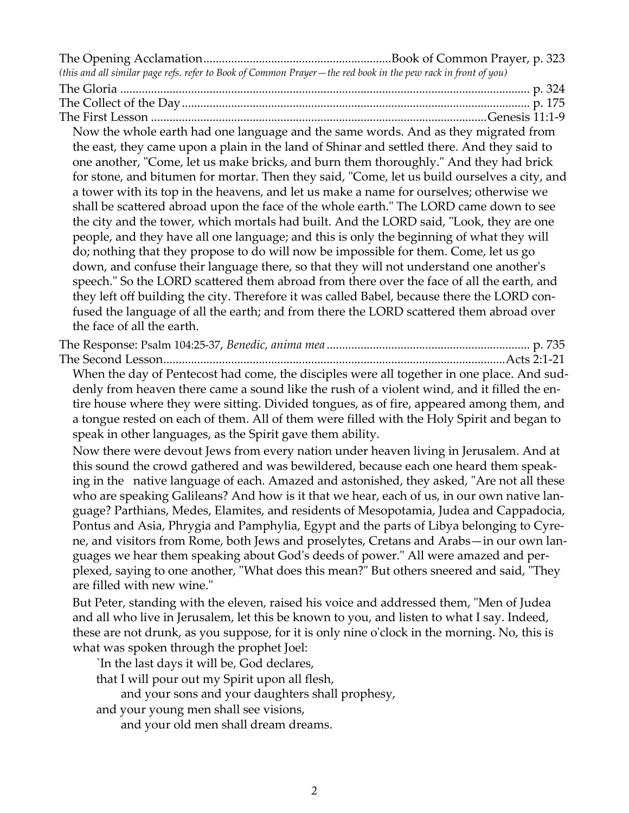The Opening Acclamation.............................................................Book of Common Prayer, p. 323 *(this and all similar page refs. refer to Book of Common Prayer—the red book in the pew rack in front of you)* The Gloria ..................................................................................................................................... p. 324 The Collect of the Day................................................................................................................. p. 175 The First Lesson .............................................................................................................Genesis 11:1-9 Now the whole earth had one language and the same words. And as they migrated from the east, they came upon a plain in the land of Shinar and settled there. And they said to one another, "Come, let us make bricks, and burn them thoroughly." And they had brick for stone, and bitumen for mortar. Then they said, "Come, let us build ourselves a city, and a tower with its top in the heavens, and let us make a name for ourselves; otherwise we shall be scattered abroad upon the face of the whole earth." The LORD came down to see the city and the tower, which mortals had built. And the LORD said, "Look, they are one people, and they have all one language; and this is only the beginning of what they will do; nothing that they propose to do will now be impossible for them. Come, let us go down, and confuse their language there, so that they will not understand one another's speech." So the LORD scattered them abroad from there over the face of all the earth, and they left off building the city. Therefore it was called Babel, because there the LORD confused the language of all the earth; and from there the LORD scattered them abroad over the face of all the earth. The Response: Psalm 104:25-37, *Benedic, anima mea* .................................................................. p. 735 The Second Lesson...............................................................................................................Acts 2:1-21 When the day of Pentecost had come, the disciples were all together in one place. And suddenly from heaven there came a sound like the rush of a violent wind, and it filled the entire house where they were sitting. Divided tongues, as of fire, appeared among them, and a tongue rested on each of them. All of them were filled with the Holy Spirit and began to speak in other languages, as the Spirit gave them ability. Now there were devout Jews from every nation under heaven living in Jerusalem. And at this sound the crowd gathered and was bewildered, because each one heard them speaking in the native language of each. Amazed and astonished, they asked, "Are not all these who are speaking Galileans? And how is it that we hear, each of us, in our own native language? Parthians, Medes, Elamites, and residents of Mesopotamia, Judea and Cappadocia, Pontus and Asia, Phrygia and Pamphylia, Egypt and the parts of Libya belonging to Cyrene, and visitors from Rome, both Jews and proselytes, Cretans and Arabs—in our own languages we hear them speaking about God's deeds of power." All were amazed and perplexed, saying to one another, "What does this mean?" But others sneered and said, "They

are filled with new wine."

But Peter, standing with the eleven, raised his voice and addressed them, "Men of Judea and all who live in Jerusalem, let this be known to you, and listen to what I say. Indeed, these are not drunk, as you suppose, for it is only nine o'clock in the morning. No, this is what was spoken through the prophet Joel:

`In the last days it will be, God declares,

that I will pour out my Spirit upon all flesh,

and your sons and your daughters shall prophesy,

and your young men shall see visions,

and your old men shall dream dreams.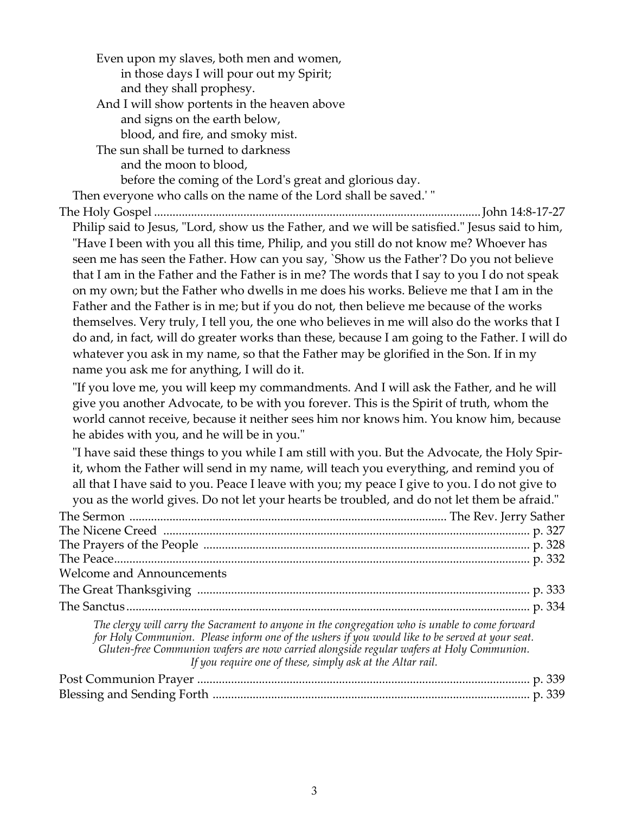Even upon my slaves, both men and women, in those days I will pour out my Spirit; and they shall prophesy. And I will show portents in the heaven above and signs on the earth below, blood, and fire, and smoky mist. The sun shall be turned to darkness and the moon to blood, before the coming of the Lord's great and glorious day. Then everyone who calls on the name of the Lord shall be saved.' " The Holy Gospel ..........................................................................................................John 14:8-17-27 Philip said to Jesus, "Lord, show us the Father, and we will be satisfied." Jesus said to him, "Have I been with you all this time, Philip, and you still do not know me? Whoever has seen me has seen the Father. How can you say, `Show us the Father'? Do you not believe that I am in the Father and the Father is in me? The words that I say to you I do not speak on my own; but the Father who dwells in me does his works. Believe me that I am in the Father and the Father is in me; but if you do not, then believe me because of the works themselves. Very truly, I tell you, the one who believes in me will also do the works that I do and, in fact, will do greater works than these, because I am going to the Father. I will do whatever you ask in my name, so that the Father may be glorified in the Son. If in my name you ask me for anything, I will do it. "If you love me, you will keep my commandments. And I will ask the Father, and he will give you another Advocate, to be with you forever. This is the Spirit of truth, whom the world cannot receive, because it neither sees him nor knows him. You know him, because he abides with you, and he will be in you." "I have said these things to you while I am still with you. But the Advocate, the Holy Spirit, whom the Father will send in my name, will teach you everything, and remind you of all that I have said to you. Peace I leave with you; my peace I give to you. I do not give to you as the world gives. Do not let your hearts be troubled, and do not let them be afraid." The Sermon ....................................................................................................... The Rev. Jerry Sather The Nicene Creed ....................................................................................................................... p. 327 The Prayers of the People .......................................................................................................... p. 328 The Peace....................................................................................................................................... p. 332 Welcome and Announcements The Great Thanksgiving ............................................................................................................ p. 333 The Sanctus ................................................................................................................................... p. 334 *The clergy will carry the Sacrament to anyone in the congregation who is unable to come forward for Holy Communion. Please inform one of the ushers if you would like to be served at your seat. Gluten-free Communion wafers are now carried alongside regular wafers at Holy Communion.* 

Post Communion Prayer ............................................................................................................ p. 339 Blessing and Sending Forth ....................................................................................................... p. 339

*If you require one of these, simply ask at the Altar rail.*